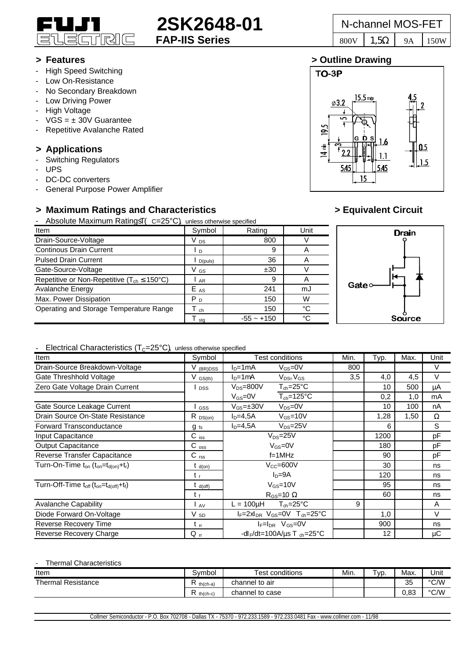

# **2SK2648-01** N-channel MOS-FET

**TO-3P** 

195

 $\overline{4}$  min

 $\varphi$ 3.2

545

## **> Features > Outline Drawing**

- High Speed Switching
- Low On-Resistance
- No Secondary Breakdown
- Low Driving Power
- High Voltage
- $VGS = \pm 30V$  Guarantee
- Repetitive Avalanche Rated

# **> Applications**

- Switching Regulators
- UPS
- DC-DC converters
- General Purpose Power Amplifier

# **> Maximum Ratings and Characteristics > Equivalent Circuit**

- Absolute Maximum Ratings  $( C = 25^{\circ}C)$  unless otherwise specified

| $\overline{a}$ woordig intermediate requiring $\overline{a}$ $\overline{b}$ = $\overline{c}$ $\overline{c}$ and $\overline{c}$ such models operated |                 |              |      |  |  |  |  |  |
|-----------------------------------------------------------------------------------------------------------------------------------------------------|-----------------|--------------|------|--|--|--|--|--|
| Item                                                                                                                                                | Symbol          | Rating       | Unit |  |  |  |  |  |
| Drain-Source-Voltage                                                                                                                                | V <sub>DS</sub> | 800          |      |  |  |  |  |  |
| <b>Continous Drain Current</b>                                                                                                                      | l D             | 9            |      |  |  |  |  |  |
| <b>Pulsed Drain Current</b>                                                                                                                         | D(puls)         | 36           | A    |  |  |  |  |  |
| Gate-Source-Voltage                                                                                                                                 | V GS            | ±30          |      |  |  |  |  |  |
| Repetitive or Non-Repetitive ( $T_{ch} \le 150^{\circ}C$ )                                                                                          | AR              | 9            | A    |  |  |  |  |  |
| Avalanche Energy                                                                                                                                    | $E_{AS}$        | 241          | mJ   |  |  |  |  |  |
| Max. Power Dissipation                                                                                                                              | P <sub>D</sub>  | 150          | W    |  |  |  |  |  |
| Operating and Storage Temperature Range                                                                                                             | ch              | 150          | °C   |  |  |  |  |  |
|                                                                                                                                                     | stq             | $-55 - +150$ | °C   |  |  |  |  |  |



6

 $0.5$  $15$ 

 $15.5$  max

Ė

15



### - Electrical Characteristics  $(T<sub>C</sub>=25°C)$ , unless otherwise specified

| Item                                                                                   | Symbol               | <b>Test conditions</b>                                     | Min. | Typ. | Max. | Unit   |  |  |  |
|----------------------------------------------------------------------------------------|----------------------|------------------------------------------------------------|------|------|------|--------|--|--|--|
| Drain-Source Breakdown-Voltage                                                         | V <sub>(BR)DSS</sub> | $ID=1mA$<br>$V_{GS}$ =0V                                   | 800  |      |      | V      |  |  |  |
| Gate Threshhold Voltage                                                                | $V_{GS(th)}$         | $V_{DS=}V_{GS}$<br>$ID=1mA$                                | 3.5  | 4,0  | 4,5  | $\vee$ |  |  |  |
| Zero Gate Voltage Drain Current                                                        | <b>DSS</b>           | $V_{DS} = 800V$<br>$T_{ch} = 25^{\circ}C$                  |      | 10   | 500  | μA     |  |  |  |
|                                                                                        |                      | $T_{ch} = 125$ °C<br>$V_{GS}=0V$                           |      | 0,2  | 1,0  | mA     |  |  |  |
| Gate Source Leakage Current                                                            | GSS                  | $V_{DS} = 0V$<br>$V_{GS} = \pm 30V$                        |      | 10   | 100  | nA     |  |  |  |
| Drain Source On-State Resistance                                                       | $R_{DS(0n)}$         | $ID=4,5A$<br>$V_{GS} = 10V$                                |      | 1,28 | 1,50 | Ω      |  |  |  |
| Forward Transconductance                                                               | $g_{fs}$             | $ID=4,5A$<br>$V_{DS} = 25V$                                |      | 6    |      | S      |  |  |  |
| Input Capacitance                                                                      | $C$ iss              | $V_{DS}=25V$                                               |      | 1200 |      | pF     |  |  |  |
| <b>Output Capacitance</b>                                                              | $C_{\rm oss}$        | $V_{GS} = 0V$                                              |      | 180  |      | pF     |  |  |  |
| Reverse Transfer Capacitance                                                           | $C$ <sub>rss</sub>   | $f=1$ MHz                                                  |      | 90   |      | pF     |  |  |  |
| Turn-On-Time $t_{on}$ ( $t_{on} = t_{d(on)} + t_r$ )                                   | $t_{d(on)}$          | $V_{CC} = 600V$                                            |      | 30   |      | ns     |  |  |  |
|                                                                                        | t,                   | $ID=9A$                                                    |      | 120  |      | ns     |  |  |  |
| Turn-Off-Time t <sub>off</sub> (t <sub>on</sub> =t <sub>d(off)</sub> +t <sub>f</sub> ) | $t_{d(off)}$         | $V_{GS} = 10V$                                             |      | 95   |      | ns     |  |  |  |
|                                                                                        | t f                  | $R_{GS}$ =10 $\Omega$                                      |      | 60   |      | ns     |  |  |  |
| <b>Avalanche Capability</b>                                                            | l av                 | $L = 100 \mu H$<br>$T_{ch} = 25^{\circ}C$                  | 9    |      |      | A      |  |  |  |
| Diode Forward On-Voltage                                                               | V <sub>sD</sub>      | $I_F = 2xI_{DR}$ V <sub>GS</sub> =0V T <sub>ch</sub> =25°C |      | 1,0  |      | V      |  |  |  |
| Reverse Recovery Time                                                                  | $t_{rr}$             | $I_F=I_{DR}$ $V_{GS}=0V$                                   |      | 900  |      | ns     |  |  |  |
| Reverse Recovery Charge                                                                | $Q_{\text{rr}}$      | -dl <sub>F</sub> /dt=100A/µs T <sub>ch</sub> =25°C         |      | 12   |      | μC     |  |  |  |

#### - Thermal Characteristics

| Item                   | Svmbol        | conditions<br>Test . | Min. | $TVP$ . | Max.       | Unit          |
|------------------------|---------------|----------------------|------|---------|------------|---------------|
| Thermal,<br>Resistance | th(ch-a)      | channel to air       |      |         | 35         | °C/W          |
|                        | −<br>th(ch-c) | channel to case      |      |         | റാ<br>∪.oა | $\degree$ C/W |

Collmer Semiconductor - P.O. Box 702708 - Dallas TX - 75370 - 972.233.1589 - 972.233.0481 Fax - www.collmer.com - 11/98